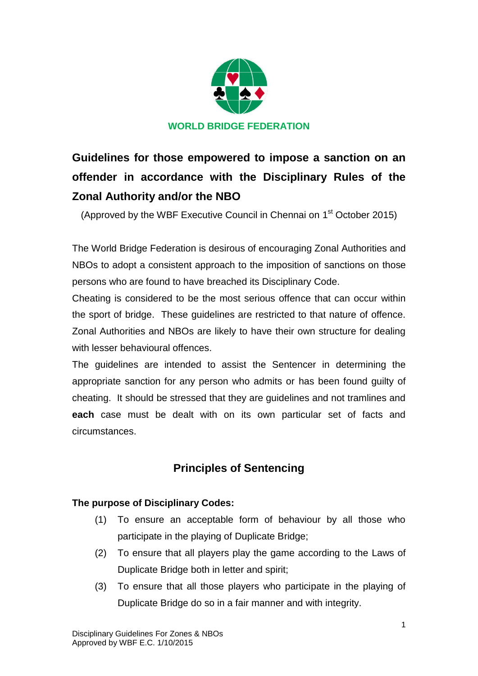

**Guidelines for those empowered to impose a sanction on an offender in accordance with the Disciplinary Rules of the Zonal Authority and/or the NBO**

(Approved by the WBF Executive Council in Chennai on 1<sup>st</sup> October 2015)

The World Bridge Federation is desirous of encouraging Zonal Authorities and NBOs to adopt a consistent approach to the imposition of sanctions on those persons who are found to have breached its Disciplinary Code.

Cheating is considered to be the most serious offence that can occur within the sport of bridge. These guidelines are restricted to that nature of offence. Zonal Authorities and NBOs are likely to have their own structure for dealing with lesser behavioural offences.

The guidelines are intended to assist the Sentencer in determining the appropriate sanction for any person who admits or has been found guilty of cheating. It should be stressed that they are guidelines and not tramlines and **each** case must be dealt with on its own particular set of facts and circumstances.

# **Principles of Sentencing**

## **The purpose of Disciplinary Codes:**

- (1) To ensure an acceptable form of behaviour by all those who participate in the playing of Duplicate Bridge;
- (2) To ensure that all players play the game according to the Laws of Duplicate Bridge both in letter and spirit;
- (3) To ensure that all those players who participate in the playing of Duplicate Bridge do so in a fair manner and with integrity.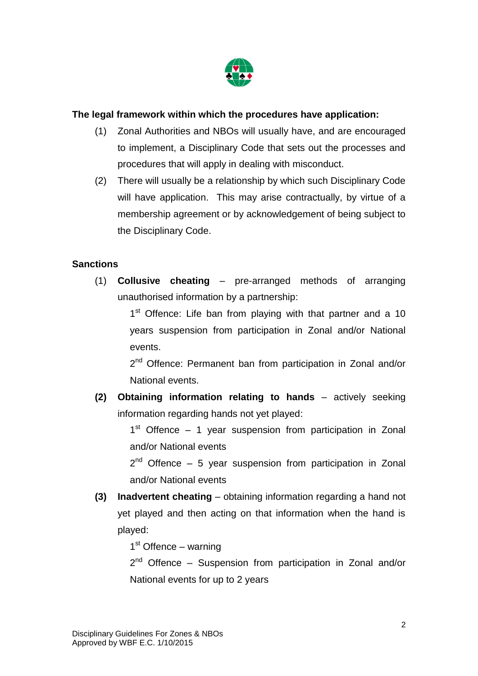

#### **The legal framework within which the procedures have application:**

- (1) Zonal Authorities and NBOs will usually have, and are encouraged to implement, a Disciplinary Code that sets out the processes and procedures that will apply in dealing with misconduct.
- (2) There will usually be a relationship by which such Disciplinary Code will have application. This may arise contractually, by virtue of a membership agreement or by acknowledgement of being subject to the Disciplinary Code.

#### **Sanctions**

(1) **Collusive cheating** – pre-arranged methods of arranging unauthorised information by a partnership:

> 1<sup>st</sup> Offence: Life ban from playing with that partner and a 10 years suspension from participation in Zonal and/or National events.

> 2<sup>nd</sup> Offence: Permanent ban from participation in Zonal and/or National events.

**(2) Obtaining information relating to hands** – actively seeking information regarding hands not yet played:

> 1<sup>st</sup> Offence – 1 year suspension from participation in Zonal and/or National events

> $2^{nd}$  Offence – 5 year suspension from participation in Zonal and/or National events

**(3) Inadvertent cheating** – obtaining information regarding a hand not yet played and then acting on that information when the hand is played:

1<sup>st</sup> Offence – warning

2<sup>nd</sup> Offence – Suspension from participation in Zonal and/or National events for up to 2 years